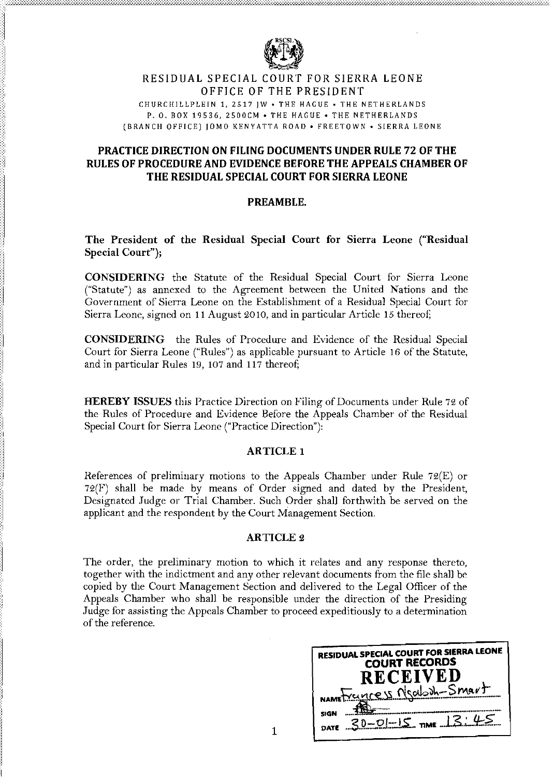

# RESIDUAL SPECIAL COURT FOR SIERRA LEONE OFFICE OF THE PRESIDENT

CHURCHILLPLEIN 1, 2517 IW • THE HAGUE • THE NETHERLANDS P. O. BOX 19536, 2500CM • THE HAGUE • THE NETHERLANDS (BRANCH OFFICE) IOMO KENYATTA ROAD. FREETOWN. SIERRA LEONE

# PRACTICE DIRECTION ON FILING DOCUMENTS UNDER RULE 72 OF THE RULES OF PROCEDURE AND EVIDENCE BEFORE THE APPEALS CHAMBER OF THE RESIDUAL SPECIAL COURT FOR SIERRALEONE

## PREAMBLE.

## The President of the Residual Special Court for Sierra Leone ("Residual Special Court");

CONSIDERING the Statute of the Residual Special Court for Sierra Leone ("Statute") as annexed to the Agreement between the United Nations and the Government of Sierra Leone on the Establishment of a Residual Special Court for Sierra Leone, signed on 11 August 2010, and in particular Article 15 thereof;

CONSIDERING the Rules of Procedure and Evidence of the Residual Special Court for Sierra Leone ("Rules") as applicable pursuant to Article 16 of the Statute, and in particular Rules 19, 107 and  $117$  thereof;

HEREBY ISSUES this Practice Direction on Filing of Documents under Rule 72 of the Rules of Procedure and Evidence Before the Appeals Chamber of the Residual Special Court for Sierra Leone ("Practice Direction"):

## ARTICLE 1

References of prelimiuary motions to the Appeals Chamber under Rule 72(E) or  $72(F)$  shall be made by means of Order signed and dated by the President, Designated Judge or Trial Chamber. Such Order shall forthwith be served on the applicant and the respondent by the Court Management Section.

## ARTICLE 2

The order, the preliminary motion to which it relates and any response thereto, together with the indictment and any other relevant documents from the file shall be copied by the Court Management Section and delivered to the Legal Officer of the Appeals Chamber who shall be responsible under the direction of the Presiding Judge for assisting the Appeals Chamber to proceed expeditiously to a determination of the reference.

| RESIDUAL SPECIAL COURT FOR SIERRA LEONE<br><b>COURT RECORDS</b><br><b>RECEIVED</b> |
|------------------------------------------------------------------------------------|
| NAMETYCLUCES Neaboh-Smart                                                          |
| <b>SIGN</b><br>$30-01-15$ TME $13.45$<br>DATE                                      |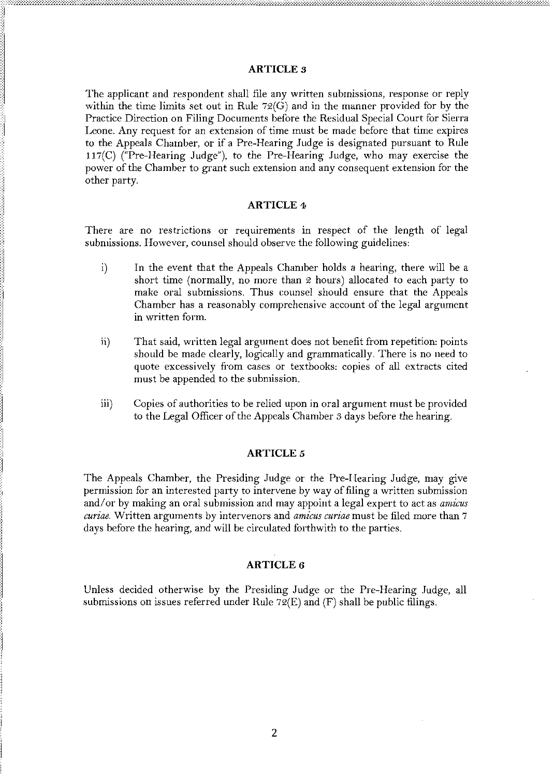#### **ARTICLE 3**

The applicant and respondent shall file any written submissions, response or reply within the time limits set out in Rule  $72(\dot{G})$  and in the manner provided for by the Practice Direction on Filing Documents before the Residual Special Court for Sierra Leone. Any request for an extension of time must be made before that time expires to the Appeals Chamber, or if a Pre-Hearing Judge is designated pursuant to Rule 117(C) ("Pre-Hearing Judge"), to the Pre-Hearing Judge, who may exercise the power of the Chamber to grant such extension and any consequent extension for the other party.

#### **ARTICLE 4**

There are no restrictions or requirements in respect of the length of legal submissions. However, counsel should observe the following guidelines:

- $i)$ In the event that the Appeals Chamber holds a hearing, there will be a short time (normally, no more than 2 hours) allocated to each party to make oral submissions. Thus counsel should ensure that the Appeals Chamber has a reasonably comprehensive account of the legal argument in written form.
- That said, written legal argument does not benefit from repetition: points  $\mathbf{ii}$ should be made clearly, logically and grammatically. There is no need to quote excessively from cases or textbooks: copies of all extracts cited must be appended to the submission.
- $\overline{iii}$ Copies of authorities to be relied upon in oral argument must be provided to the Legal Officer of the Appeals Chamber 3 days before the hearing.

#### **ARTICLE 5**

The Appeals Chamber, the Presiding Judge or the Pre-Hearing Judge, may give permission for an interested party to intervene by way of filing a written submission and/or by making an oral submission and may appoint a legal expert to act as amicus curiae. Written arguments by intervenors and *amicus curiae* must be filed more than 7 days before the hearing, and will be circulated forthwith to the parties.

#### **ARTICLE 6**

Unless decided otherwise by the Presiding Judge or the Pre-Hearing Judge, all submissions on issues referred under Rule  $72(E)$  and  $(F)$  shall be public filings.